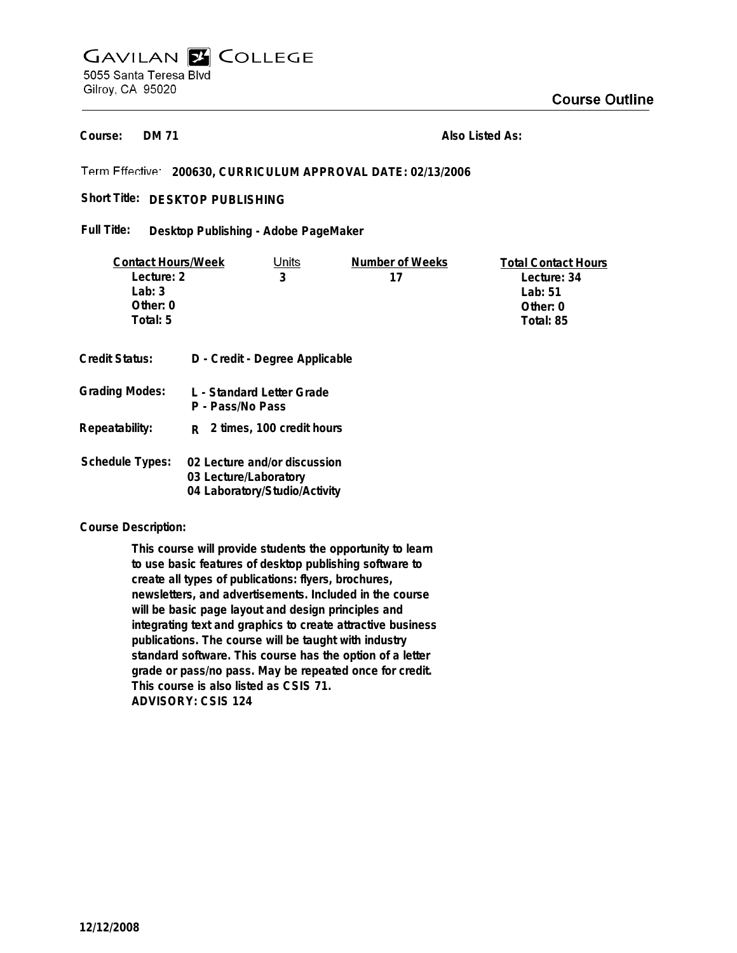# **GAVILAN E COLLEGE** 5055 Santa Teresa Blvd Gilroy, CA 95020

**DM 71 Course:**

**Also Listed As:**

# **200630, CURRICULUM APPROVAL DATE: 02/13/2006**

# Short Title: DESKTOP PUBLISHING

#### **Desktop Publishing - Adobe PageMaker Full Title:**

| <b>Contact Hours/Week</b> |                                               | Units                          | Number of Weeks | <b>Total Contact Hours</b> |
|---------------------------|-----------------------------------------------|--------------------------------|-----------------|----------------------------|
| Lecture: 2                |                                               | 3                              | 17              | Lecture: 34                |
| Lab: $3$                  |                                               |                                |                 | Lab: $51$                  |
| Other: 0                  |                                               |                                |                 | Other: $0$                 |
| Total: 5                  |                                               |                                |                 | Total: 85                  |
| Credit Status:            |                                               | D - Credit - Degree Applicable |                 |                            |
| <b>Grading Modes:</b>     | L - Standard Letter Grade<br>P - Pass/No Pass |                                |                 |                            |
| Repeatability:            | R.                                            | 2 times, 100 credit hours      |                 |                            |
| Schedule Types:           | 02 Lecture and/or discussion                  |                                |                 |                            |

### **Course Description:**

**This course will provide students the opportunity to learn to use basic features of desktop publishing software to create all types of publications: flyers, brochures, newsletters, and advertisements. Included in the course will be basic page layout and design principles and integrating text and graphics to create attractive business publications. The course will be taught with industry standard software. This course has the option of a letter grade or pass/no pass. May be repeated once for credit. This course is also listed as CSIS 71. ADVISORY: CSIS 124**

**03 Lecture/Laboratory 04 Laboratory/Studio/Activity**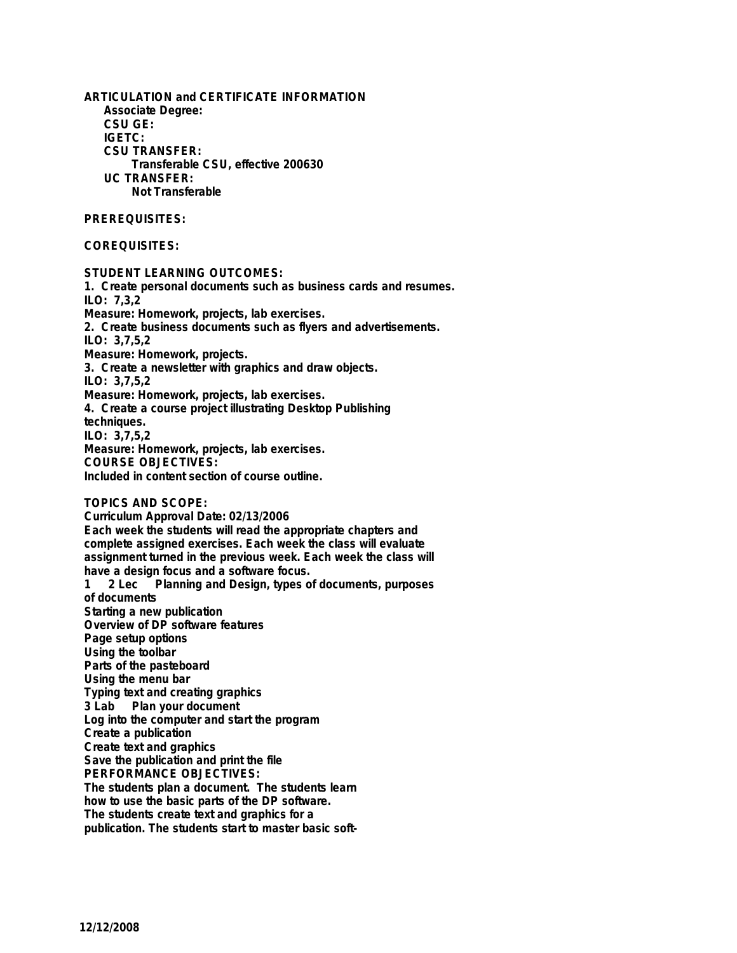**ARTICULATION and CERTIFICATE INFORMATION Associate Degree: CSU GE: IGETC: CSU TRANSFER: Transferable CSU, effective 200630 UC TRANSFER: Not Transferable**

## **PREREQUISITES:**

### **COREQUISITES:**

**STUDENT LEARNING OUTCOMES: 1. Create personal documents such as business cards and resumes. ILO: 7,3,2 Measure: Homework, projects, lab exercises. 2. Create business documents such as flyers and advertisements. ILO: 3,7,5,2 Measure: Homework, projects. 3. Create a newsletter with graphics and draw objects. ILO: 3,7,5,2 Measure: Homework, projects, lab exercises. 4. Create a course project illustrating Desktop Publishing techniques. ILO: 3,7,5,2 Measure: Homework, projects, lab exercises. COURSE OBJECTIVES: Included in content section of course outline. TOPICS AND SCOPE:**

**Curriculum Approval Date: 02/13/2006 Each week the students will read the appropriate chapters and complete assigned exercises. Each week the class will evaluate assignment turned in the previous week. Each week the class will have a design focus and a software focus. 1 2 Lec Planning and Design, types of documents, purposes of documents Starting a new publication Overview of DP software features Page setup options Using the toolbar Parts of the pasteboard Using the menu bar Typing text and creating graphics Plan your document Log into the computer and start the program Create a publication Create text and graphics Save the publication and print the file PERFORMANCE OBJECTIVES: The students plan a document. The students learn how to use the basic parts of the DP software. The students create text and graphics for a publication. The students start to master basic soft-**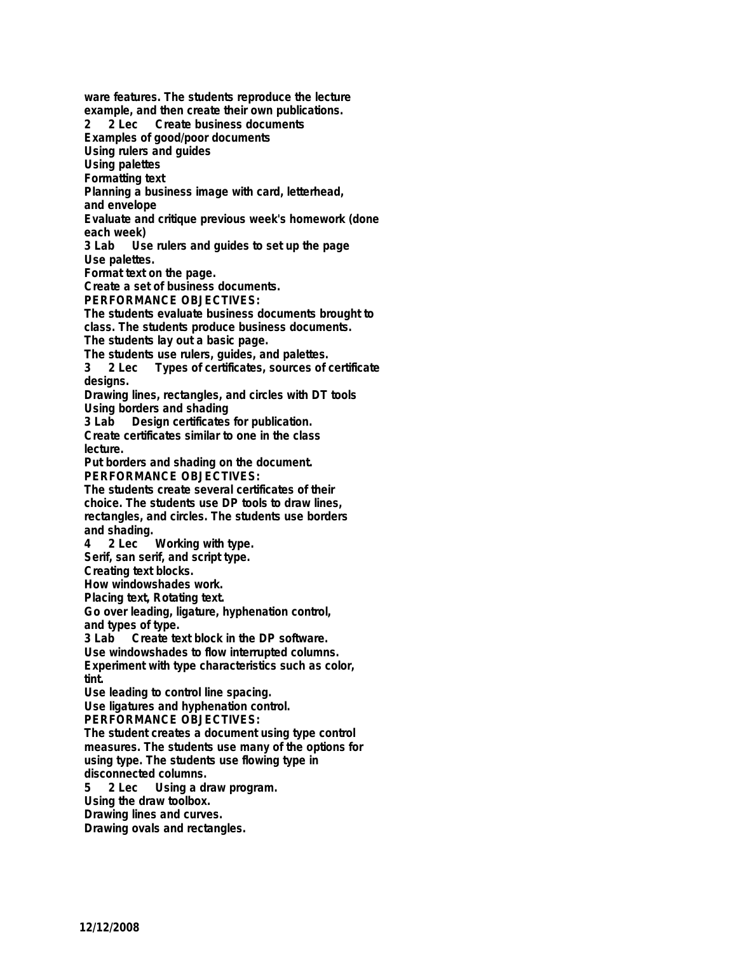**ware features. The students reproduce the lecture example, and then create their own publications.**

**2 2 Lec Create business documents**

**Examples of good/poor documents**

**Using rulers and guides**

**Using palettes**

**Formatting text**

**Planning a business image with card, letterhead,**

**and envelope**

**Evaluate and critique previous week's homework (done each week)**

Use rulers and quides to set up the page **Use palettes.**

**Format text on the page.**

**Create a set of business documents.**

**PERFORMANCE OBJECTIVES:**

**The students evaluate business documents brought to class. The students produce business documents.**

**The students lay out a basic page.**

**The students use rulers, guides, and palettes.**

**3 2 Lec Types of certificates, sources of certificate designs.**

**Drawing lines, rectangles, and circles with DT tools Using borders and shading**

**3 Lab Design certificates for publication.**

**Create certificates similar to one in the class lecture.**

**Put borders and shading on the document. PERFORMANCE OBJECTIVES:**

**The students create several certificates of their choice. The students use DP tools to draw lines, rectangles, and circles. The students use borders and shading.**

**4 2 Lec Working with type. Serif, san serif, and script type.**

**Creating text blocks.**

**How windowshades work.**

**Placing text, Rotating text.**

**Go over leading, ligature, hyphenation control, and types of type.**

**3 Lab Create text block in the DP software.**

**Use windowshades to flow interrupted columns. Experiment with type characteristics such as color,**

**tint.**

**Use leading to control line spacing.**

**Use ligatures and hyphenation control.**

**PERFORMANCE OBJECTIVES:**

**The student creates a document using type control measures. The students use many of the options for using type. The students use flowing type in disconnected columns.**

**5 2 Lec Using a draw program.**

**Using the draw toolbox.**

**Drawing lines and curves.**

**Drawing ovals and rectangles.**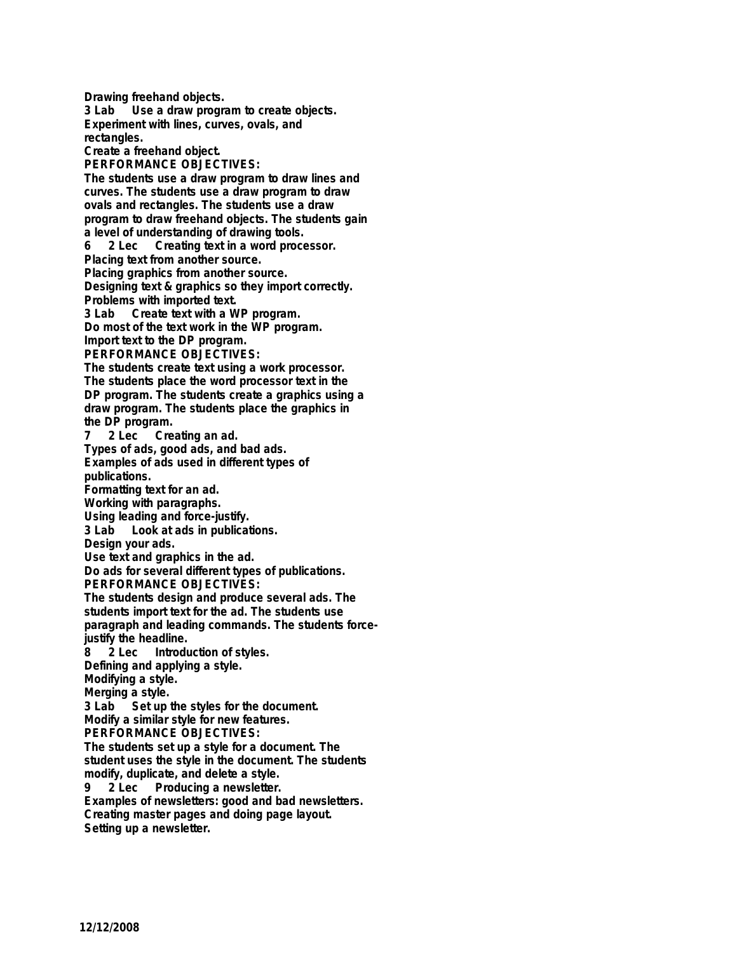**Drawing freehand objects. 3 Lab Use a draw program to create objects. Experiment with lines, curves, ovals, and rectangles. Create a freehand object. PERFORMANCE OBJECTIVES: The students use a draw program to draw lines and curves. The students use a draw program to draw ovals and rectangles. The students use a draw program to draw freehand objects. The students gain a level of understanding of drawing tools. 6 2 Lec Creating text in a word processor. Placing text from another source. Placing graphics from another source. Designing text & graphics so they import correctly. Problems with imported text. 3 Lab Create text with a WP program. Do most of the text work in the WP program. Import text to the DP program. PERFORMANCE OBJECTIVES: The students create text using a work processor. The students place the word processor text in the DP program. The students create a graphics using a draw program. The students place the graphics in the DP program. 7 2 Lec Creating an ad. Types of ads, good ads, and bad ads. Examples of ads used in different types of publications. Formatting text for an ad. Working with paragraphs. Using leading and force-justify. 3 Lab Look at ads in publications. Design your ads. Use text and graphics in the ad. Do ads for several different types of publications. PERFORMANCE OBJECTIVES: The students design and produce several ads. The students import text for the ad. The students use paragraph and leading commands. The students forcejustify the headline. 8 2 Lec Introduction of styles. Defining and applying a style. Modifying a style. Merging a style.**<br>**3 Lab Set up 3 Set up the styles for the document. Modify a similar style for new features. PERFORMANCE OBJECTIVES: The students set up a style for a document. The student uses the style in the document. The students modify, duplicate, and delete a style. 9 2 Lec Producing a newsletter. Examples of newsletters: good and bad newsletters. Creating master pages and doing page layout. Setting up a newsletter.**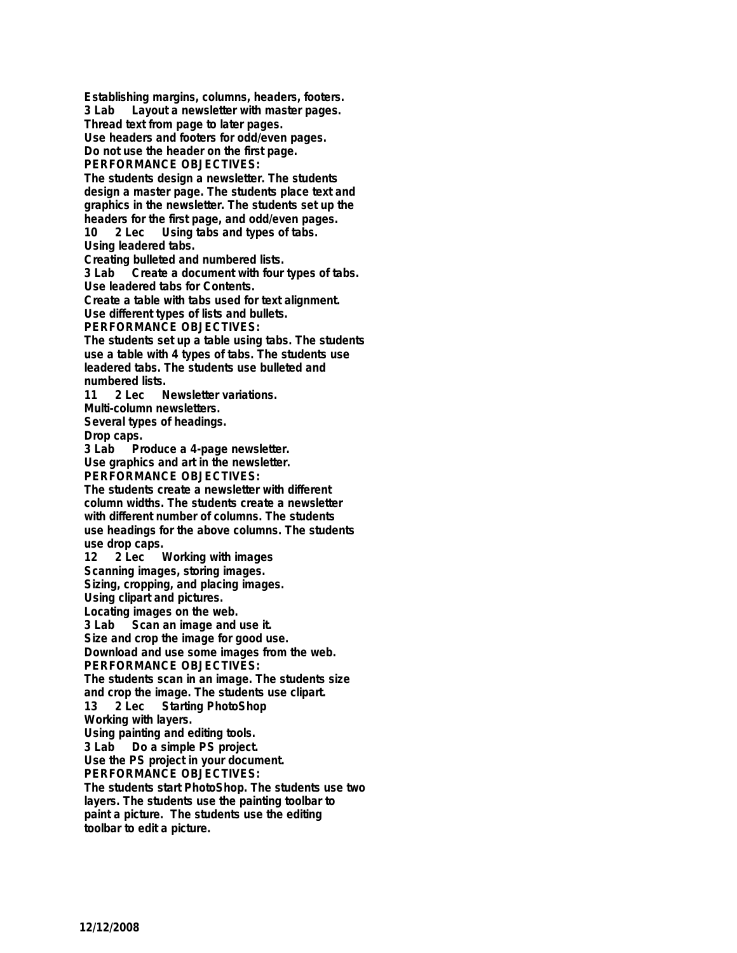**Establishing margins, columns, headers, footers. 3 Lab Layout a newsletter with master pages. Thread text from page to later pages. Use headers and footers for odd/even pages. Do not use the header on the first page. PERFORMANCE OBJECTIVES: The students design a newsletter. The students design a master page. The students place text and graphics in the newsletter. The students set up the headers for the first page, and odd/even pages. 10 2 Lec Using tabs and types of tabs. Using leadered tabs. Creating bulleted and numbered lists. 3 Lab Create a document with four types of tabs. Use leadered tabs for Contents. Create a table with tabs used for text alignment. Use different types of lists and bullets. PERFORMANCE OBJECTIVES: The students set up a table using tabs. The students use a table with 4 types of tabs. The students use leadered tabs. The students use bulleted and numbered lists. 11 2 Lec Newsletter variations. Multi-column newsletters. Several types of headings. Drop caps.** Produce a 4-page newsletter. **Use graphics and art in the newsletter. PERFORMANCE OBJECTIVES: The students create a newsletter with different column widths. The students create a newsletter with different number of columns. The students use headings for the above columns. The students** use drop caps.<br>12 2 Lec \ **Working with images Scanning images, storing images. Sizing, cropping, and placing images. Using clipart and pictures. Locating images on the web. 3 Lab Scan an image and use it.**

**Size and crop the image for good use. Download and use some images from the web. PERFORMANCE OBJECTIVES:**

**The students scan in an image. The students size and crop the image. The students use clipart.**

**13 2 Lec Starting PhotoShop Working with layers.**

**Using painting and editing tools.**

Do a simple PS project.

**Use the PS project in your document. PERFORMANCE OBJECTIVES:**

**The students start PhotoShop. The students use two layers. The students use the painting toolbar to paint a picture. The students use the editing toolbar to edit a picture.**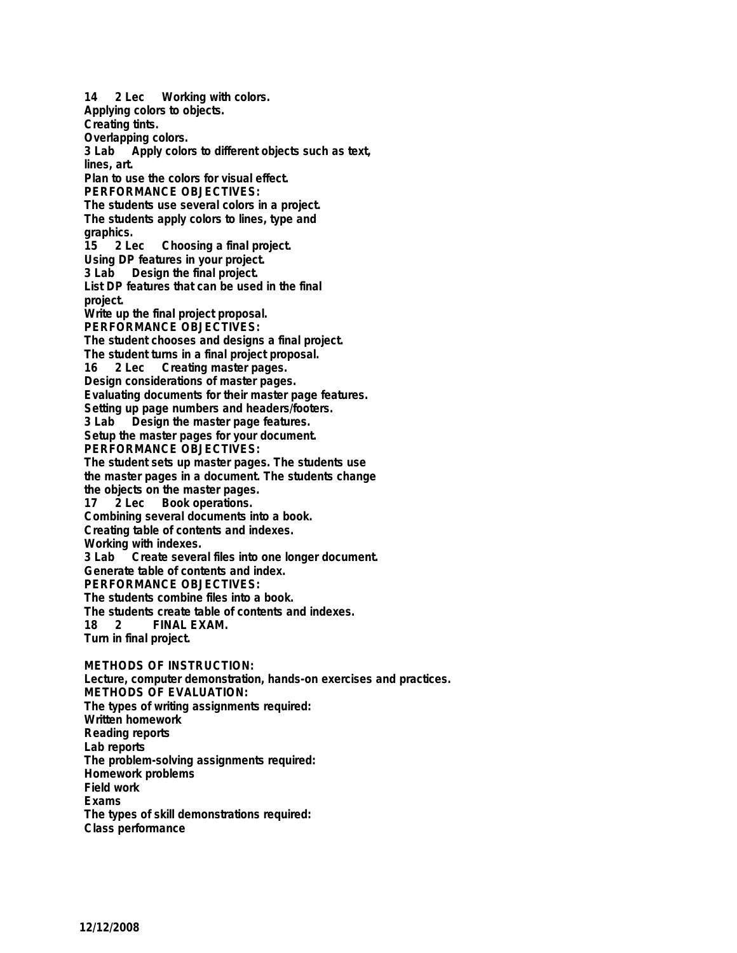**14 2 Lec Working with colors. Applying colors to objects. Creating tints. Overlapping colors. 3 Lab Apply colors to different objects such as text, lines, art. Plan to use the colors for visual effect. PERFORMANCE OBJECTIVES: The students use several colors in a project. The students apply colors to lines, type and** graphics.<br>15 2 Le **15 2 Lec Choosing a final project. Using DP features in your project. 3 Lab Design the final project. List DP features that can be used in the final project. Write up the final project proposal. PERFORMANCE OBJECTIVES: The student chooses and designs a final project. The student turns in a final project proposal. 16 2 Lec Creating master pages. Design considerations of master pages. Evaluating documents for their master page features. Setting up page numbers and headers/footers. 3 Lab Design the master page features. Setup the master pages for your document. PERFORMANCE OBJECTIVES: The student sets up master pages. The students use the master pages in a document. The students change the objects on the master pages. 17 2 Lec Book operations. Combining several documents into a book. Creating table of contents and indexes. Working with indexes. 3 Create several files into one longer document. Generate table of contents and index. PERFORMANCE OBJECTIVES: The students combine files into a book. The students create table of contents and indexes. 18 2 FINAL EXAM. Turn in final project. METHODS OF INSTRUCTION: Lecture, computer demonstration, hands-on exercises and practices. METHODS OF EVALUATION: The types of writing assignments required: Written homework Reading reports Lab reports The problem-solving assignments required: Homework problems Field work Exams**

**The types of skill demonstrations required:**

**Class performance**